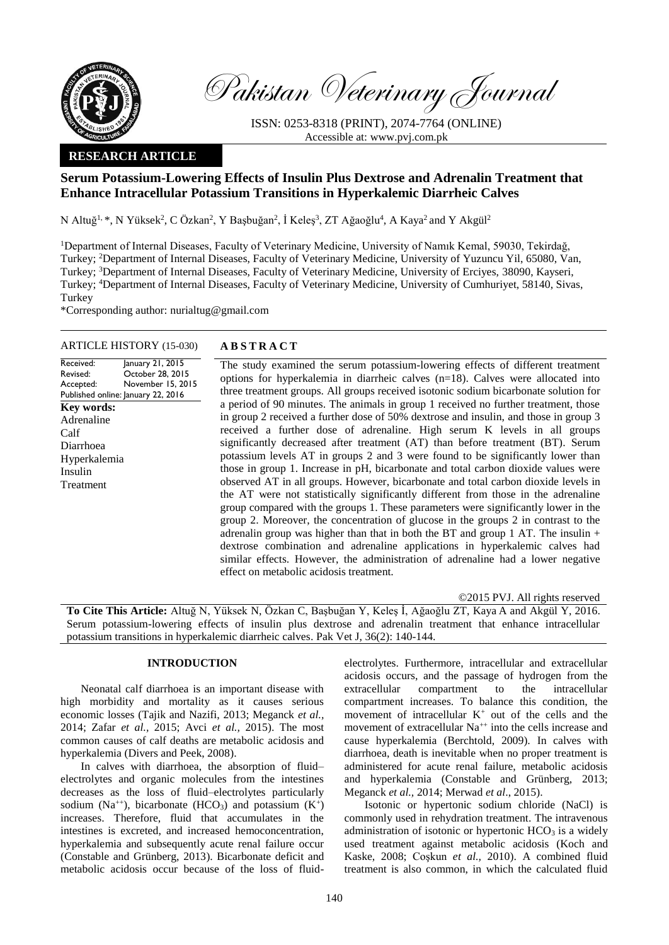

Pakistan Veterinary Journal

ISSN: 0253-8318 (PRINT), 2074-7764 (ONLINE) Accessible at: [www.pvj.com.pk](http://www.pvj.com.pk/)

## **RESEARCH ARTICLE**

# **Serum Potassium-Lowering Effects of Insulin Plus Dextrose and Adrenalin Treatment that Enhance Intracellular Potassium Transitions in Hyperkalemic Diarrheic Calves**

N Altuğ<sup>1,</sup> \*, N Yüksek<sup>2</sup>, C Özkan<sup>2</sup>, Y Başbuğan<sup>2</sup>, İ Keleş<sup>3</sup>, ZT Ağaoğlu<sup>4</sup>, A Kaya<sup>2</sup> and Y Akgül<sup>2</sup>

<sup>1</sup>Department of Internal Diseases, Faculty of Veterinary Medicine, University of Namık Kemal, 59030, Tekirdağ, Turkey; <sup>2</sup>Department of Internal Diseases, Faculty of Veterinary Medicine, University of Yuzuncu Yil, 65080, Van, Turkey; <sup>3</sup>Department of Internal Diseases, Faculty of Veterinary Medicine, University of Erciyes, 38090, Kayseri, Turkey; <sup>4</sup>Department of Internal Diseases, Faculty of Veterinary Medicine, University of Cumhuriyet, 58140, Sivas, Turkey

\*Corresponding author: nurialtug@gmail.com

### ARTICLE HISTORY (15-030) **A B S T R A C T**

Received: Revised: Accepted: Published online: January 22, 2016 January 21, 2015 October 28, 2015 November 15, 2015 **Key words:**  Adrenaline Calf Diarrhoea Hyperkalemia Insulin Treatment

The study examined the serum potassium-lowering effects of different treatment options for hyperkalemia in diarrheic calves  $(n=18)$ . Calves were allocated into three treatment groups. All groups received isotonic sodium bicarbonate solution for a period of 90 minutes. The animals in group 1 received no further treatment, those in group 2 received a further dose of 50% dextrose and insulin, and those in group 3 received a further dose of adrenaline. High serum K levels in all groups significantly decreased after treatment (AT) than before treatment (BT). Serum potassium levels AT in groups 2 and 3 were found to be significantly lower than those in group 1. Increase in pH, bicarbonate and total carbon dioxide values were observed AT in all groups. However, bicarbonate and total carbon dioxide levels in the AT were not statistically significantly different from those in the adrenaline group compared with the groups 1. These parameters were significantly lower in the group 2. Moreover, the concentration of glucose in the groups 2 in contrast to the adrenalin group was higher than that in both the BT and group 1 AT. The insulin  $+$ dextrose combination and adrenaline applications in hyperkalemic calves had similar effects. However, the administration of adrenaline had a lower negative effect on metabolic acidosis treatment.

©2015 PVJ. All rights reserved

**To Cite This Article:** Altuğ N, Yüksek N, Özkan C, Başbuğan Y, Keleş İ, Ağaoğlu ZT, Kaya A and Akgül Y, 2016. Serum potassium-lowering effects of insulin plus dextrose and adrenalin treatment that enhance intracellular potassium transitions in hyperkalemic diarrheic calves. Pak Vet J, 36(2): 140-144.

## **INTRODUCTION**

Neonatal calf diarrhoea is an important disease with high morbidity and mortality as it causes serious economic losses (Tajik and Nazifi, 2013; Meganck *et al.,* 2014; Zafar *et al.,* 2015; Avci *et al.,* 2015). The most common causes of calf deaths are metabolic acidosis and hyperkalemia (Divers and Peek, 2008).

In calves with diarrhoea, the absorption of fluid– electrolytes and organic molecules from the intestines decreases as the loss of fluid–electrolytes particularly sodium (Na<sup>++</sup>), bicarbonate (HCO<sub>3</sub>) and potassium  $(K^+)$ increases. Therefore, fluid that accumulates in the intestines is excreted, and increased hemoconcentration, hyperkalemia and subsequently acute renal failure occur (Constable and Grünberg, 2013). Bicarbonate deficit and metabolic acidosis occur because of the loss of fluid-

electrolytes. Furthermore, intracellular and extracellular acidosis occurs, and the passage of hydrogen from the extracellular compartment to the intracellular compartment increases. To balance this condition, the movement of intracellular  $K^+$  out of the cells and the movement of extracellular Na<sup>++</sup> into the cells increase and cause hyperkalemia (Berchtold, 2009). In calves with diarrhoea, death is inevitable when no proper treatment is administered for acute renal failure, metabolic acidosis and hyperkalemia (Constable and Grünberg, 2013; Meganck *et al.,* 2014; Merwad *et al*., 2015).

Isotonic or hypertonic sodium chloride (NaCl) is commonly used in rehydration treatment. The intravenous administration of isotonic or hypertonic  $HCO<sub>3</sub>$  is a widely used treatment against metabolic acidosis (Koch and Kaske, 2008; Coşkun *et al.,* 2010). A combined fluid treatment is also common, in which the calculated fluid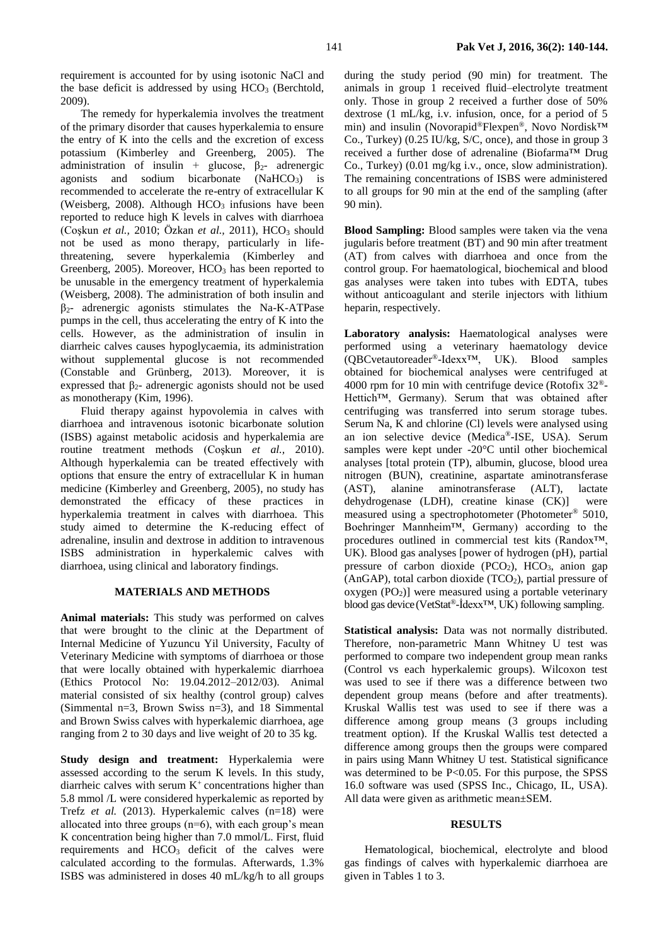requirement is accounted for by using isotonic NaCl and the base deficit is addressed by using  $HCO<sub>3</sub>$  (Berchtold, 2009).

The remedy for hyperkalemia involves the treatment of the primary disorder that causes hyperkalemia to ensure the entry of K into the cells and the excretion of excess potassium (Kimberley and Greenberg, 2005). The administration of insulin + glucose,  $\beta_2$ - adrenergic agonists and sodium bicarbonate  $(NaHCO<sub>3</sub>)$  is recommended to accelerate the re-entry of extracellular K (Weisberg, 2008). Although  $HCO<sub>3</sub>$  infusions have been reported to reduce high K levels in calves with diarrhoea (Coskun *et al.,* 2010; Özkan *et al.,* 2011), HCO<sub>3</sub> should not be used as mono therapy, particularly in lifethreatening, severe hyperkalemia (Kimberley and Greenberg, 2005). Moreover, HCO<sub>3</sub> has been reported to be unusable in the emergency treatment of hyperkalemia (Weisberg, 2008). The administration of both insulin and  $\beta_2$ - adrenergic agonists stimulates the Na-K-ATPase pumps in the cell, thus accelerating the entry of K into the cells. However, as the administration of insulin in diarrheic calves causes hypoglycaemia, its administration without supplemental glucose is not recommended (Constable and Grünberg, 2013). Moreover, it is expressed that  $\beta_2$ - adrenergic agonists should not be used as monotherapy (Kim, 1996).

Fluid therapy against hypovolemia in calves with diarrhoea and intravenous isotonic bicarbonate solution (ISBS) against metabolic acidosis and hyperkalemia are routine treatment methods (Coşkun *et al.,* 2010). Although hyperkalemia can be treated effectively with options that ensure the entry of extracellular K in human medicine (Kimberley and Greenberg, 2005), no study has demonstrated the efficacy of these practices in hyperkalemia treatment in calves with diarrhoea. This study aimed to determine the K-reducing effect of adrenaline, insulin and dextrose in addition to intravenous ISBS administration in hyperkalemic calves with diarrhoea, using clinical and laboratory findings.

#### **MATERIALS AND METHODS**

**Animal materials:** This study was performed on calves that were brought to the clinic at the Department of Internal Medicine of Yuzuncu Yil University, Faculty of Veterinary Medicine with symptoms of diarrhoea or those that were locally obtained with hyperkalemic diarrhoea (Ethics Protocol No: 19.04.2012–2012/03). Animal material consisted of six healthy (control group) calves (Simmental n=3, Brown Swiss n=3), and 18 Simmental and Brown Swiss calves with hyperkalemic diarrhoea, age ranging from 2 to 30 days and live weight of 20 to 35 kg.

**Study design and treatment:** Hyperkalemia were assessed according to the serum K levels. In this study, diarrheic calves with serum  $K^+$  concentrations higher than 5.8 mmol /L were considered hyperkalemic as reported by Trefz *et al.* (2013). Hyperkalemic calves (n=18) were allocated into three groups  $(n=6)$ , with each group's mean K concentration being higher than 7.0 mmol/L. First, fluid requirements and HCO<sup>3</sup> deficit of the calves were calculated according to the formulas. Afterwards, 1.3% ISBS was administered in doses 40 mL/kg/h to all groups

during the study period (90 min) for treatment. The animals in group 1 received fluid–electrolyte treatment only. Those in group 2 received a further dose of 50% dextrose (1 mL/kg, i.v. infusion, once, for a period of 5 min) and insulin (Novorapid*®*Flexpen*®*, Novo Nordisk™ Co., Turkey) (0.25 IU/kg, S/C, once), and those in group 3 received a further dose of adrenaline (Biofarma™ Drug Co., Turkey) (0.01 mg/kg i.v., once, slow administration). The remaining concentrations of ISBS were administered to all groups for 90 min at the end of the sampling (after 90 min).

**Blood Sampling:** Blood samples were taken via the vena jugularis before treatment (BT) and 90 min after treatment (AT) from calves with diarrhoea and once from the control group. For haematological, biochemical and blood gas analyses were taken into tubes with EDTA, tubes without anticoagulant and sterile injectors with lithium heparin, respectively.

Laboratory analysis: Haematological analyses were performed using a veterinary haematology device (QBCvetautoreader®-Idexx™, UK). Blood samples obtained for biochemical analyses were centrifuged at 4000 rpm for 10 min with centrifuge device (Rotofix 32®- Hettich™, Germany). Serum that was obtained after centrifuging was transferred into serum storage tubes. Serum Na, K and chlorine (Cl) levels were analysed using an ion selective device (Medica®-ISE, USA). Serum samples were kept under -20°C until other biochemical analyses [total protein (TP), albumin, glucose, blood urea nitrogen (BUN), creatinine, aspartate aminotransferase (AST), alanine aminotransferase (ALT), lactate dehydrogenase (LDH), creatine kinase (CK)] were measured using a spectrophotometer (Photometer® 5010, Boehringer Mannheim™, Germany) according to the procedures outlined in commercial test kits (Randox™, UK). Blood gas analyses [power of hydrogen (pH), partial pressure of carbon dioxide  $(PCO<sub>2</sub>)$ ,  $HCO<sub>3</sub>$ , anion gap  $(AnGAP)$ , total carbon dioxide  $(TCO<sub>2</sub>)$ , partial pressure of oxygen  $(PO<sub>2</sub>)$ ] were measured using a portable veterinary blood gas device(VetStat®-İdexx™, UK) following sampling.

**Statistical analysis:** Data was not normally distributed. Therefore, non-parametric Mann Whitney U test was performed to compare two independent group mean ranks (Control vs each hyperkalemic groups). Wilcoxon test was used to see if there was a difference between two dependent group means (before and after treatments). Kruskal Wallis test was used to see if there was a difference among group means (3 groups including treatment option). If the Kruskal Wallis test detected a difference among groups then the groups were compared in pairs using Mann Whitney U test. Statistical significance was determined to be P<0.05. For this purpose, the SPSS 16.0 software was used (SPSS Inc., Chicago, IL, USA). All data were given as arithmetic mean±SEM.

#### **RESULTS**

Hematological, biochemical, electrolyte and blood gas findings of calves with hyperkalemic diarrhoea are given in Tables 1 to 3.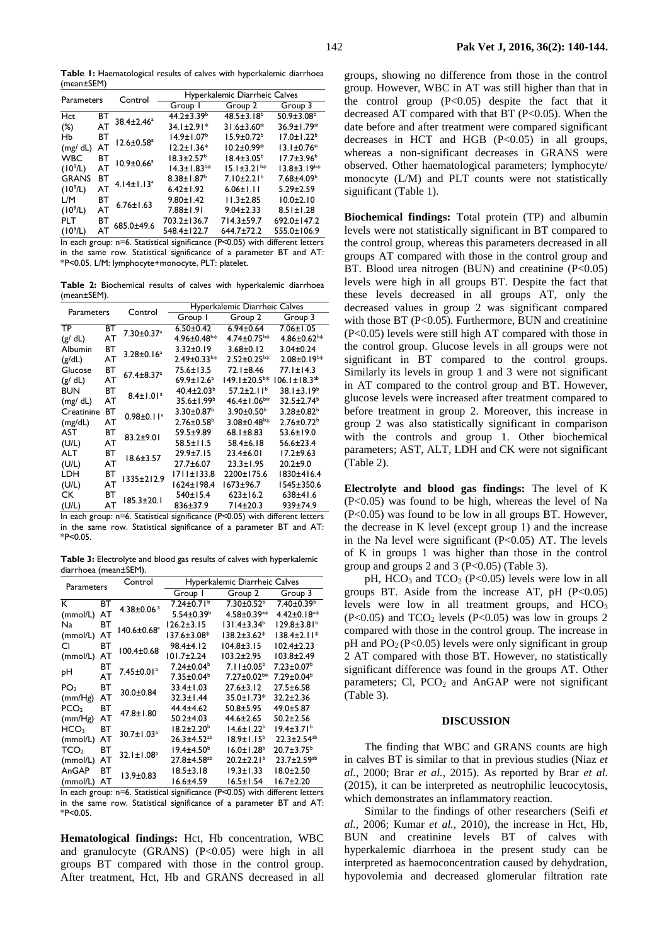**Table 1:** Haematological results of calves with hyperkalemic diarrhoea (mean±SEM)

| Parameters                                                                          |    | Control                      | Hyperkalemic Diarrheic Calves |                               |                               |  |
|-------------------------------------------------------------------------------------|----|------------------------------|-------------------------------|-------------------------------|-------------------------------|--|
|                                                                                     |    |                              | Group I                       | Group 2                       | Group 3                       |  |
| Hct                                                                                 | BT | 38.4±2.46 <sup>a</sup>       | $44.2 \pm 3.39^b$             | $48.5 \pm 3.18$ <sup>b</sup>  | $50.9 \pm 3.08^{\circ}$       |  |
| $(\%)$                                                                              | AT |                              | $34.1 \pm 2.91*$              | $31.6 \pm 3.60*$              | 36.9±1.79*                    |  |
| Hb                                                                                  | BТ | $12.6 \pm 0.58$ <sup>a</sup> | $14.9 \pm 1.07^b$             | $15.9 \pm 0.72^b$             | $17.0 \pm 1.22^b$             |  |
| (mg/dL)                                                                             | AT |                              | $12.2 \pm 1.36*$              | $10.2 \pm 0.99*$              | $13.1 \pm 0.76*$              |  |
| <b>WBC</b>                                                                          | BТ | $10.9 \pm 0.66^a$            | $18.3 \pm 2.57^{\circ}$       | $18.4 \pm 3.05^{\circ}$       | $17.7 \pm 3.96^b$             |  |
| (10 <sup>9</sup> /L)                                                                | AT |                              | $14.3 \pm 1.83$ <sup>b*</sup> | $15.1 \pm 3.21$ <sup>b*</sup> | $13.8 \pm 3.19$ <sup>b*</sup> |  |
| <b>GRANS</b>                                                                        | ВT | $4.14 \pm 1.13$ <sup>a</sup> | $8.38 \pm 1.87$ <sup>b</sup>  | $7.10 \pm 2.21^b$             | $7.68{\pm}4.09^{\rm b}$       |  |
| (10 <sup>9</sup> /L)                                                                | AT |                              | $6.42 \pm 1.92$               | $6.06 \pm 1.11$               | $5.29 \pm 2.59$               |  |
| L/M                                                                                 | BT | $6.76 \pm 1.63$              | $9.80 \pm 1.42$               | $11.3 \pm 2.85$               | $10.0 \pm 2.10$               |  |
| (10 <sup>9</sup> /L)                                                                | AT |                              | $7.88 \pm 1.91$               | $9.04 \pm 2.33$               | $8.51 \pm 1.28$               |  |
| <b>PLT</b>                                                                          | BТ | 685.0±49.6                   | 703.2±136.7                   | $714.3 + 59.7$                | $692.0 \pm 147.2$             |  |
| (10 <sup>9</sup> /L)                                                                | AT |                              | 548.4±122.7                   | $644.7 \pm 72.2$              | 555.0±106.9                   |  |
| $P < 0.05$ ) with different letters<br>In oach group: n=6. Statistical significance |    |                              |                               |                               |                               |  |

group: n=6. Statistical significance (P<0.05) with different let in the same row. Statistical significance of a parameter BT and AT: \*P<0.05. L/M: lymphocyte+monocyte, PLT: platelet.

**Table 2:** Biochemical results of calves with hyperkalemic diarrhoea (mean±SEM).

| <b>Parameters</b> |    | Control                      | Hyperkalemic Diarrheic Calves |                               |                               |  |
|-------------------|----|------------------------------|-------------------------------|-------------------------------|-------------------------------|--|
|                   |    |                              | Group I                       | Group 2                       | Group 3                       |  |
| <b>TP</b>         | ВT | 7.30±0.37 <sup>a</sup>       | $6.50 \pm 0.42$               | $6.94 \pm 0.64$               | $7.06 \pm 1.05$               |  |
| (g/dL)            | AT |                              | $4.96 \pm 0.48$ <sup>b*</sup> | $4.74 \pm 0.75$ <sup>b*</sup> | $4.86 \pm 0.62$ <sup>b*</sup> |  |
| Albumin           | вт | 3.28±0.16 <sup>a</sup>       | $3.32 \pm 0.19$               | $3.68 \pm 0.12$               | $3.04 \pm 0.24$               |  |
| (g/dL)            | AT |                              | $2.49 \pm 0.33$ <sup>b*</sup> | $2.52 \pm 0.25$ <sup>b*</sup> | $2.08 \pm 0.19$ <sup>b*</sup> |  |
| Glucose           | ВT | $67.4 \pm 8.37$ <sup>a</sup> | $75.6 \pm 13.5$               | $72.1 \pm 8.46$               | $77.1 \pm 14.3$               |  |
| (g/dL)            | AT |                              | $69.9 \pm 12.6^a$             | 149.1±20.5 <sup>b</sup> *     | $106.1 \pm 18.3^{ab}$         |  |
| <b>BUN</b>        | вт | $8.4 \pm 1.01^a$             | $40.4 \pm 2.03^b$             | $57.2 \pm 2.11^b$             | $38.1 \pm 3.19^b$             |  |
| (mg/dL)           | AT |                              | 35.6±1.99 <sup>b</sup>        | $46.4 \pm 1.06^{b*}$          | $32.5 \pm 2.74$ <sup>b</sup>  |  |
| Creatinine        | ВT | $0.98 \pm 0.11$ <sup>a</sup> | $3.30 \pm 0.87$ <sup>b</sup>  | $3.90 \pm 0.50^{\circ}$       | $3.28 \pm 0.82^b$             |  |
| (mg/dL)           | AT |                              | $2.76 \pm 0.58$ <sup>b</sup>  | $3.08 \pm 0.48$ <sup>b*</sup> | $2.76 \pm 0.72$ <sup>b</sup>  |  |
| AST               | вт | 83.2±9.01                    | 59.5±9.89                     | 68.1±8.83                     | $53.6 \pm 19.0$               |  |
| (U/L)             | AT |                              | $58.5 \pm 11.5$               | $58.4 \pm 6.18$               | $56.6 \pm 23.4$               |  |
| <b>ALT</b>        | ВT | $18.6 \pm 3.57$              | $29.9 + 7.15$                 | $23.4 \pm 6.01$               | $17.2 + 9.63$                 |  |
| (U/L)             | AT |                              | $27.7 + 6.07$                 | $23.3 \pm 1.95$               | $20.2 + 9.0$                  |  |
| LDH               | вт | 1335±212.9                   | $1711 \pm 133.8$              | 2200±175.6                    | 1830±416.4                    |  |
| (U/L)             | AT |                              | 1624±198.4                    | 1673±96.7                     | I545±350.6                    |  |
| CК                | вт | 185.3±20.1                   | 540±15.4                      | $623 \pm 16.2$                | $638+41.6$                    |  |
| (U/L)             | AT |                              | 836±37.9                      | 714±20.3                      | 939±74.9                      |  |

In each group: n=6. Statistical significance (P<0.05) with different letters in the same row. Statistical significance of a parameter BT and AT: \*P<0.05.

**Table 3:** Electrolyte and blood gas results of calves with hyperkalemic diarrhoea (mean±SEM).

| Parameters       |    | Control                 | Hyperkalemic Diarrheic Calves |                               |                               |
|------------------|----|-------------------------|-------------------------------|-------------------------------|-------------------------------|
|                  |    |                         | Group I                       | Group 2                       | Group 3                       |
| К                | ВT | 4.38±0.06 $a$           | $7.24 \pm 0.71$ <sup>b</sup>  | $7.30 \pm 0.52^b$             | $7.40 \pm 0.39^{\circ}$       |
| (mmol/L)         | AT |                         | $5.54 \pm 0.39^b$             | $4.58 \pm 0.39$ <sup>a*</sup> | $4.42 \pm 0.18$ <sup>a*</sup> |
| Na               | вт | 140.6±0.68 <sup>a</sup> | $126.2 \pm 3.15$              | $131.4 \pm 3.34^b$            | $129.8 \pm 3.81^b$            |
| (mmol/L)         | AT |                         | 137.6±3.08*                   | 138.2±3.62*                   | $138.4 \pm 2.11*$             |
| CI               | вт | $100.4 \pm 0.68$        | $98.4 \pm 4.12$               | $104.8 \pm 3.15$              | $102.4 \pm 2.23$              |
| (mmol/L)         | AT |                         | $101.7 + 2.24$                | $103.2 + 2.95$                | $103.8 + 2.49$                |
|                  | вт | 7.45±0.01ª              | $7.24 \pm 0.04^b$             | $7.11 \pm 0.05^b$             | $7.23 \pm 0.07^{\rm b}$       |
| pН               | AT |                         | $7.35 \pm 0.04^b$             | $7.27 \pm 0.02$ <sup>b*</sup> | $7.29 \pm 0.04^b$             |
| PO <sub>2</sub>  | ВT | 30.0±0.84               | $33.4 \pm 1.03$               | $27.6 \pm 3.12$               | $27.5 \pm 6.58$               |
| (mm/Hg)          | AT |                         | $32.3 \pm 1.44$               | $35.0 \pm 1.73*$              | $32.2 \pm 2.36$               |
| PCO <sub>2</sub> | ВT | 47.8±1.80               | 44.4±4.62                     | $50.8 \pm 5.95$               | $49.0 \pm 5.87$               |
| (mm/Hg)          | AT |                         | $50.2 + 4.03$                 | $44.6 \pm 2.65$               | $50.2 + 2.56$                 |
| HCO <sub>3</sub> | вт | 30.7±1.03 <sup>a</sup>  | $18.2 \pm 2.20^{\circ}$       | $14.6 \pm 1.22^b$             | $19.4 \pm 3.71^b$             |
| (mmol/L)         | AT |                         | 26.3±4.52 <sup>ab</sup>       | $18.9 \pm 1.15^b$             | $22.3 \pm 2.54$ <sup>ab</sup> |
| TCO <sub>2</sub> | ВT | $32.1 \pm 1.08^a$       | $19.4 \pm 4.50^b$             | $16.0 \pm 1.28^b$             | $20.7 \pm 3.75^{\circ}$       |
| (mmol/L)         | AT |                         | 27.8±4.58 <sup>ab</sup>       | $20.2 \pm 2.21$ <sup>b</sup>  | $23.7 \pm 2.59$ <sup>ab</sup> |
| AnGAP            | ВT | 13.9±0.83               | $18.5 \pm 3.18$               | $19.3 \pm 1.33$               | $18.0 \pm 2.50$               |
| (mmol/L)         | AT |                         | 16.6±4.59                     | $16.5 \pm 1.54$               | $16.7 \pm 2.20$               |

In each group: n=6. Statistical significance (P<0.05) with different letters in the same row. Statistical significance of a parameter BT and AT: \*P<0.05.

**Hematological findings:** Hct, Hb concentration, WBC and granulocyte (GRANS) (P<0.05) were high in all groups BT compared with those in the control group. After treatment, Hct, Hb and GRANS decreased in all

groups, showing no difference from those in the control group. However, WBC in AT was still higher than that in the control group  $(P<0.05)$  despite the fact that it decreased AT compared with that BT  $(P<0.05)$ . When the date before and after treatment were compared significant decreases in HCT and HGB  $(P<0.05)$  in all groups, whereas a non-significant decreases in GRANS were observed. Other haematological parameters; lymphocyte/ monocyte (L/M) and PLT counts were not statistically significant (Table 1).

**Biochemical findings:** Total protein (TP) and albumin levels were not statistically significant in BT compared to the control group, whereas this parameters decreased in all groups AT compared with those in the control group and BT. Blood urea nitrogen (BUN) and creatinine  $(P<0.05)$ levels were high in all groups BT. Despite the fact that these levels decreased in all groups AT, only the decreased values in group 2 was significant compared with those BT (P<0.05). Furthermore, BUN and creatinine (P<0.05) levels were still high AT compared with those in the control group. Glucose levels in all groups were not significant in BT compared to the control groups. Similarly its levels in group 1 and 3 were not significant in AT compared to the control group and BT. However, glucose levels were increased after treatment compared to before treatment in group 2. Moreover, this increase in group 2 was also statistically significant in comparison with the controls and group 1. Other biochemical parameters; AST, ALT, LDH and CK were not significant (Table 2).

**Electrolyte and blood gas findings:** The level of K  $(P<0.05)$  was found to be high, whereas the level of Na (P<0.05) was found to be low in all groups BT. However, the decrease in K level (except group 1) and the increase in the Na level were significant  $(P<0.05)$  AT. The levels of K in groups 1 was higher than those in the control group and groups 2 and 3 ( $P<0.05$ ) (Table 3).

pH,  $HCO<sub>3</sub>$  and  $TCO<sub>2</sub>$  (P<0.05) levels were low in all groups BT. Aside from the increase AT,  $pH$  ( $P<0.05$ ) levels were low in all treatment groups, and  $HCO<sub>3</sub>$  $(P<0.05)$  and TCO<sub>2</sub> levels  $(P<0.05)$  was low in groups 2 compared with those in the control group. The increase in pH and  $PO<sub>2</sub> (P<0.05)$  levels were only significant in group 2 AT compared with those BT. However, no statistically significant difference was found in the groups AT. Other parameters; Cl,  $PCO<sub>2</sub>$  and AnGAP were not significant (Table 3).

#### **DISCUSSION**

The finding that WBC and GRANS counts are high in calves BT is similar to that in previous studies (Niaz *et al.,* 2000; Brar *et al.,* 2015). As reported by Brar *et al.* (2015), it can be interpreted as neutrophilic leucocytosis, which demonstrates an inflammatory reaction.

Similar to the findings of other researchers (Seifi *et al.,* 2006; Kumar *et al.,* 2010), the increase in Hct, Hb, BUN and creatinine levels BT of calves with hyperkalemic diarrhoea in the present study can be interpreted as haemoconcentration caused by dehydration, hypovolemia and decreased glomerular filtration rate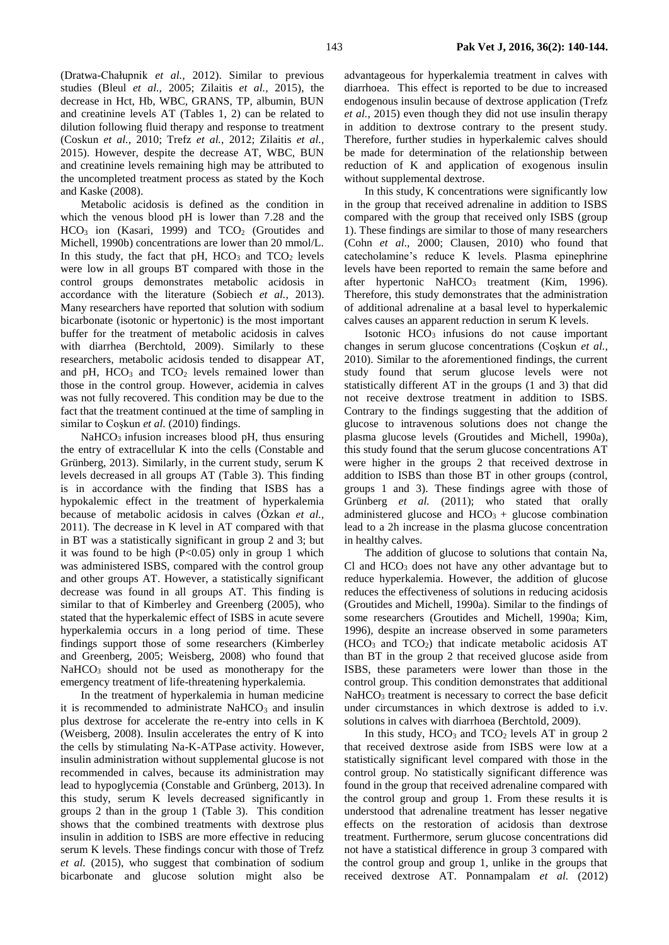and creatinine levels AT (Tables 1, 2) can be related to dilution following fluid therapy and response to treatment (Coskun *et al.,* 2010; Trefz *et al.,* 2012; Zilaitis *et al.,* 2015). However, despite the decrease AT, WBC, BUN and creatinine levels remaining high may be attributed to the uncompleted treatment process as stated by the Koch and Kaske (2008).

Metabolic acidosis is defined as the condition in which the venous blood pH is lower than 7.28 and the  $HCO<sub>3</sub>$  ion (Kasari, 1999) and  $TCO<sub>2</sub>$  (Groutides and Michell, 1990b) concentrations are lower than 20 mmol/L. In this study, the fact that  $pH$ ,  $HCO<sub>3</sub>$  and  $TCO<sub>2</sub>$  levels were low in all groups BT compared with those in the control groups demonstrates metabolic acidosis in accordance with the literature (Sobiech *et al.,* 2013). Many researchers have reported that solution with sodium bicarbonate (isotonic or hypertonic) is the most important buffer for the treatment of metabolic acidosis in calves with diarrhea (Berchtold, 2009). Similarly to these researchers, metabolic acidosis tended to disappear AT, and  $pH$ ,  $HCO<sub>3</sub>$  and  $TCO<sub>2</sub>$  levels remained lower than those in the control group. However, acidemia in calves was not fully recovered. This condition may be due to the fact that the treatment continued at the time of sampling in similar to Coşkun et al. (2010) findings.

 $NaHCO<sub>3</sub>$  infusion increases blood pH, thus ensuring the entry of extracellular K into the cells (Constable and Grünberg, 2013). Similarly, in the current study, serum K levels decreased in all groups AT (Table 3). This finding is in accordance with the finding that ISBS has a hypokalemic effect in the treatment of hyperkalemia because of metabolic acidosis in calves (Özkan *et al.,* 2011). The decrease in K level in AT compared with that in BT was a statistically significant in group 2 and 3; but it was found to be high  $(P<0.05)$  only in group 1 which was administered ISBS, compared with the control group and other groups AT. However, a statistically significant decrease was found in all groups AT. This finding is similar to that of Kimberley and Greenberg (2005), who stated that the hyperkalemic effect of ISBS in acute severe hyperkalemia occurs in a long period of time. These findings support those of some researchers (Kimberley and Greenberg, 2005; Weisberg, 2008) who found that NaHCO<sub>3</sub> should not be used as monotherapy for the emergency treatment of life-threatening hyperkalemia.

In the treatment of hyperkalemia in human medicine it is recommended to administrate  $NaHCO<sub>3</sub>$  and insulin plus dextrose for accelerate the re-entry into cells in K (Weisberg, 2008). Insulin accelerates the entry of K into the cells by stimulating Na-K-ATPase activity. However, insulin administration without supplemental glucose is not recommended in calves, because its administration may lead to hypoglycemia (Constable and Grünberg, 2013). In this study, serum K levels decreased significantly in groups 2 than in the group 1 (Table 3). This condition shows that the combined treatments with dextrose plus insulin in addition to ISBS are more effective in reducing serum K levels. These findings concur with those of Trefz *et al.* (2015), who suggest that combination of sodium bicarbonate and glucose solution might also be

advantageous for hyperkalemia treatment in calves with diarrhoea. This effect is reported to be due to increased endogenous insulin because of dextrose application (Trefz *et al.,* 2015) even though they did not use insulin therapy in addition to dextrose contrary to the present study. Therefore, further studies in hyperkalemic calves should be made for determination of the relationship between reduction of K and application of exogenous insulin without supplemental dextrose.

In this study, K concentrations were significantly low in the group that received adrenaline in addition to ISBS compared with the group that received only ISBS (group 1). These findings are similar to those of many researchers (Cohn *et al*., 2000; Clausen, 2010) who found that catecholamine's reduce K levels. Plasma epinephrine levels have been reported to remain the same before and after hypertonic  $NaHCO<sub>3</sub>$  treatment (Kim, 1996). Therefore, this study demonstrates that the administration of additional adrenaline at a basal level to hyperkalemic calves causes an apparent reduction in serum K levels.

Isotonic  $HCO<sub>3</sub>$  infusions do not cause important changes in serum glucose concentrations (Coşkun *et al.,* 2010). Similar to the aforementioned findings, the current study found that serum glucose levels were not statistically different AT in the groups (1 and 3) that did not receive dextrose treatment in addition to ISBS. Contrary to the findings suggesting that the addition of glucose to intravenous solutions does not change the plasma glucose levels (Groutides and Michell, 1990a), this study found that the serum glucose concentrations AT were higher in the groups 2 that received dextrose in addition to ISBS than those BT in other groups (control, groups 1 and 3). These findings agree with those of Grünberg *et al.* (2011); who stated that orally administered glucose and  $HCO<sub>3</sub> +$  glucose combination lead to a 2h increase in the plasma glucose concentration in healthy calves.

The addition of glucose to solutions that contain Na,  $Cl$  and  $HCO<sub>3</sub>$  does not have any other advantage but to reduce hyperkalemia. However, the addition of glucose reduces the effectiveness of solutions in reducing acidosis (Groutides and Michell, 1990a). Similar to the findings of some researchers (Groutides and Michell, 1990a; Kim, 1996), despite an increase observed in some parameters  $(HCO<sub>3</sub>$  and  $TCO<sub>2</sub>)$  that indicate metabolic acidosis AT than BT in the group 2 that received glucose aside from ISBS, these parameters were lower than those in the control group. This condition demonstrates that additional NaHCO<sub>3</sub> treatment is necessary to correct the base deficit under circumstances in which dextrose is added to i.v. solutions in calves with diarrhoea (Berchtold, 2009).

In this study,  $HCO<sub>3</sub>$  and  $TCO<sub>2</sub>$  levels AT in group 2 that received dextrose aside from ISBS were low at a statistically significant level compared with those in the control group. No statistically significant difference was found in the group that received adrenaline compared with the control group and group 1. From these results it is understood that adrenaline treatment has lesser negative effects on the restoration of acidosis than dextrose treatment. Furthermore, serum glucose concentrations did not have a statistical difference in group 3 compared with the control group and group 1, unlike in the groups that received dextrose AT. Ponnampalam *et al.* (2012)